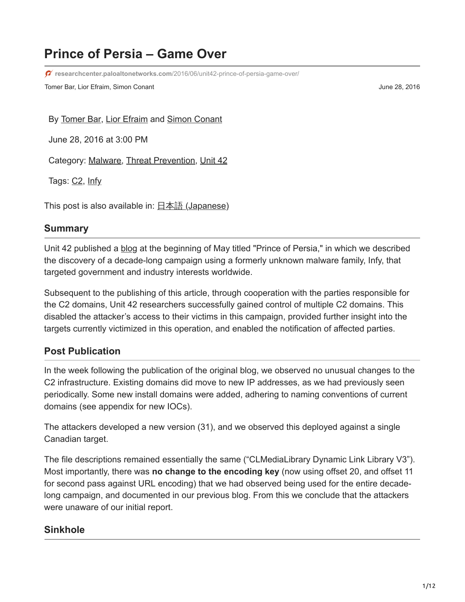# **Prince of Persia – Game Over**

**researchcenter.paloaltonetworks.com**[/2016/06/unit42-prince-of-persia-game-over/](http://researchcenter.paloaltonetworks.com/2016/06/unit42-prince-of-persia-game-over/)

Tomer Bar, Lior Efraim, Simon Conant June 28, 2016

By [Tomer Bar](https://unit42.paloaltonetworks.com/author/tomer-bar/), [Lior Efraim](https://unit42.paloaltonetworks.com/author/lior-efraim/) and [Simon Conant](https://unit42.paloaltonetworks.com/author/simon-conant/)

June 28, 2016 at 3:00 PM

Category: [Malware,](https://unit42.paloaltonetworks.com/category/malware-2/) [Threat Prevention](https://unit42.paloaltonetworks.com/category/threat-prevention-2/), [Unit 42](https://unit42.paloaltonetworks.com/category/unit42/)

Tags: C<sub>2</sub>, [Infy](https://unit42.paloaltonetworks.com/tag/infy/)

This post is also available in:  $\exists \pm \exists$  [\(Japanese\)](https://unit42.paloaltonetworks.jp/unit42-prince-of-persia-game-over/)

#### **Summary**

Unit 42 published a [blog](https://blog.paloaltonetworks.com/2016/05/prince-of-persia-infy-malware-active-in-decade-of-targeted-attacks/) at the beginning of May titled "Prince of Persia," in which we described the discovery of a decade-long campaign using a formerly unknown malware family, Infy, that targeted government and industry interests worldwide.

Subsequent to the publishing of this article, through cooperation with the parties responsible for the C2 domains, Unit 42 researchers successfully gained control of multiple C2 domains. This disabled the attacker's access to their victims in this campaign, provided further insight into the targets currently victimized in this operation, and enabled the notification of affected parties.

#### **Post Publication**

In the week following the publication of the original blog, we observed no unusual changes to the C2 infrastructure. Existing domains did move to new IP addresses, as we had previously seen periodically. Some new install domains were added, adhering to naming conventions of current domains (see appendix for new IOCs).

The attackers developed a new version (31), and we observed this deployed against a single Canadian target.

The file descriptions remained essentially the same ("CLMediaLibrary Dynamic Link Library V3"). Most importantly, there was **no change to the encoding key** (now using offset 20, and offset 11 for second pass against URL encoding) that we had observed being used for the entire decadelong campaign, and documented in our previous blog. From this we conclude that the attackers were unaware of our initial report.

### **Sinkhole**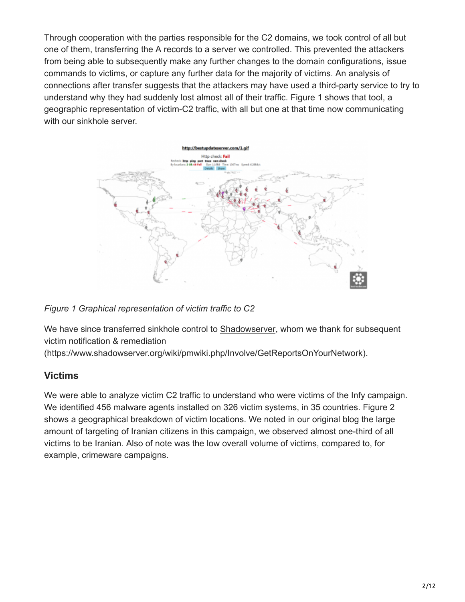Through cooperation with the parties responsible for the C2 domains, we took control of all but one of them, transferring the A records to a server we controlled. This prevented the attackers from being able to subsequently make any further changes to the domain configurations, issue commands to victims, or capture any further data for the majority of victims. An analysis of connections after transfer suggests that the attackers may have used a third-party service to try to understand why they had suddenly lost almost all of their traffic. Figure 1 shows that tool, a geographic representation of victim-C2 traffic, with all but one at that time now communicating with our sinkhole server.



*Figure 1 Graphical representation of victim traffic to C2*

We have since transferred sinkhole control to **Shadowserver**, whom we thank for subsequent victim notification & remediation

([https://www.shadowserver.org/wiki/pmwiki.php/Involve/GetReportsOnYourNetwork\)](https://www.shadowserver.org/wiki/pmwiki.php/Involve/GetReportsOnYourNetwork).

### **Victims**

We were able to analyze victim C2 traffic to understand who were victims of the Infy campaign. We identified 456 malware agents installed on 326 victim systems, in 35 countries. Figure 2 shows a geographical breakdown of victim locations. We noted in our original blog the large amount of targeting of Iranian citizens in this campaign, we observed almost one-third of all victims to be Iranian. Also of note was the low overall volume of victims, compared to, for example, crimeware campaigns.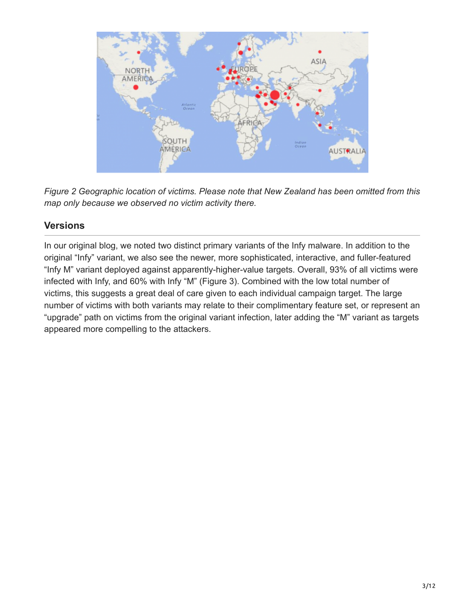

*Figure 2 Geographic location of victims. Please note that New Zealand has been omitted from this map only because we observed no victim activity there.*

# **Versions**

In our original blog, we noted two distinct primary variants of the Infy malware. In addition to the original "Infy" variant, we also see the newer, more sophisticated, interactive, and fuller-featured "Infy M" variant deployed against apparently-higher-value targets. Overall, 93% of all victims were infected with Infy, and 60% with Infy "M" (Figure 3). Combined with the low total number of victims, this suggests a great deal of care given to each individual campaign target. The large number of victims with both variants may relate to their complimentary feature set, or represent an "upgrade" path on victims from the original variant infection, later adding the "M" variant as targets appeared more compelling to the attackers.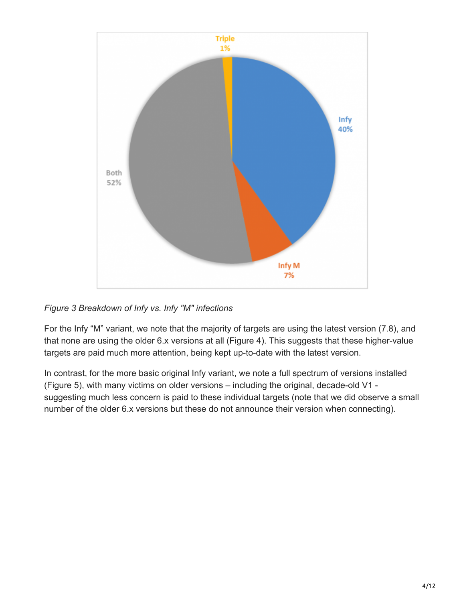

*Figure 3 Breakdown of Infy vs. Infy "M" infections*

For the Infy "M" variant, we note that the majority of targets are using the latest version (7.8), and that none are using the older 6.x versions at all (Figure 4). This suggests that these higher-value targets are paid much more attention, being kept up-to-date with the latest version.

In contrast, for the more basic original Infy variant, we note a full spectrum of versions installed (Figure 5), with many victims on older versions – including the original, decade-old V1 suggesting much less concern is paid to these individual targets (note that we did observe a small number of the older 6.x versions but these do not announce their version when connecting).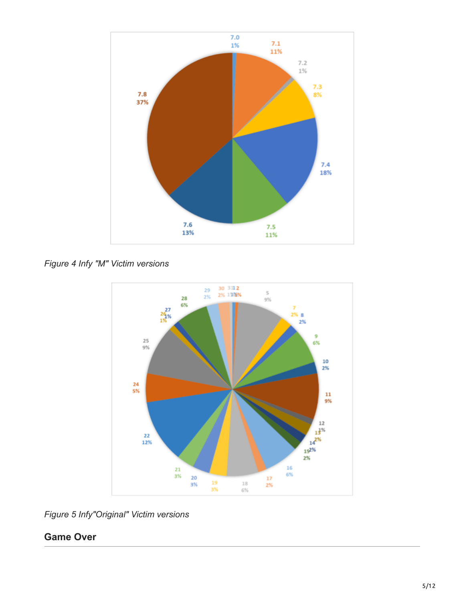

*Figure 4 Infy "M" Victim versions*



*Figure 5 Infy"Original" Victim versions*

# **Game Over**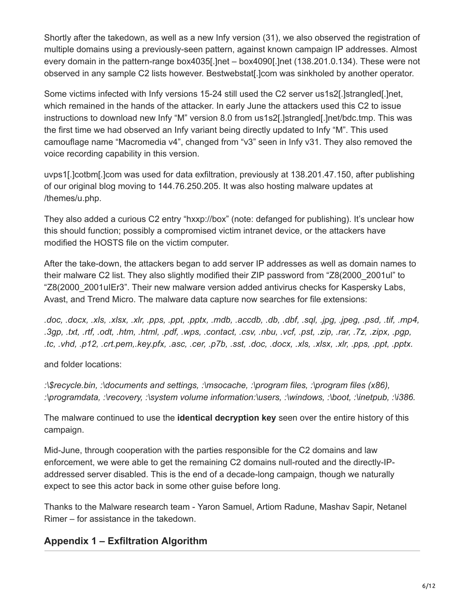Shortly after the takedown, as well as a new Infy version (31), we also observed the registration of multiple domains using a previously-seen pattern, against known campaign IP addresses. Almost every domain in the pattern-range box4035[.]net – box4090[.]net (138.201.0.134). These were not observed in any sample C2 lists however. Bestwebstat[.]com was sinkholed by another operator.

Some victims infected with Infy versions 15-24 still used the C2 server us1s2[.]strangled[.]net, which remained in the hands of the attacker. In early June the attackers used this C2 to issue instructions to download new Infy "M" version 8.0 from us1s2[.]strangled[.]net/bdc.tmp. This was the first time we had observed an Infy variant being directly updated to Infy "M". This used camouflage name "Macromedia v4", changed from "v3" seen in Infy v31. They also removed the voice recording capability in this version.

uvps1[.]cotbm[.]com was used for data exfiltration, previously at 138.201.47.150, after publishing of our original blog moving to 144.76.250.205. It was also hosting malware updates at /themes/u.php.

They also added a curious C2 entry "hxxp://box" (note: defanged for publishing). It's unclear how this should function; possibly a compromised victim intranet device, or the attackers have modified the HOSTS file on the victim computer.

After the take-down, the attackers began to add server IP addresses as well as domain names to their malware C2 list. They also slightly modified their ZIP password from "Z8(2000\_2001ul" to "Z8(2000\_2001uIEr3". Their new malware version added antivirus checks for Kaspersky Labs, Avast, and Trend Micro. The malware data capture now searches for file extensions:

*.doc, .docx, .xls, .xlsx, .xlr, .pps, .ppt, .pptx, .mdb, .accdb, .db, .dbf, .sql, .jpg, .jpeg, .psd, .tif, .mp4, .3gp, .txt, .rtf, .odt, .htm, .html, .pdf, .wps, .contact, .csv, .nbu, .vcf, .pst, .zip, .rar, .7z, .zipx, .pgp, .tc, .vhd, .p12, .crt.pem,.key.pfx, .asc, .cer, .p7b, .sst, .doc, .docx, .xls, .xlsx, .xlr, .pps, .ppt, .pptx.*

and folder locations:

*:\\$recycle.bin, :\documents and settings, :\msocache, :\program files, :\program files (x86), :\programdata, :\recovery, :\system volume information:\users, :\windows, :\boot, :\inetpub, :\i386.*

The malware continued to use the **identical decryption key** seen over the entire history of this campaign.

Mid-June, through cooperation with the parties responsible for the C2 domains and law enforcement, we were able to get the remaining C2 domains null-routed and the directly-IPaddressed server disabled. This is the end of a decade-long campaign, though we naturally expect to see this actor back in some other guise before long.

Thanks to the Malware research team - Yaron Samuel, Artiom Radune, Mashav Sapir, Netanel Rimer – for assistance in the takedown.

## **Appendix 1 – Exfiltration Algorithm**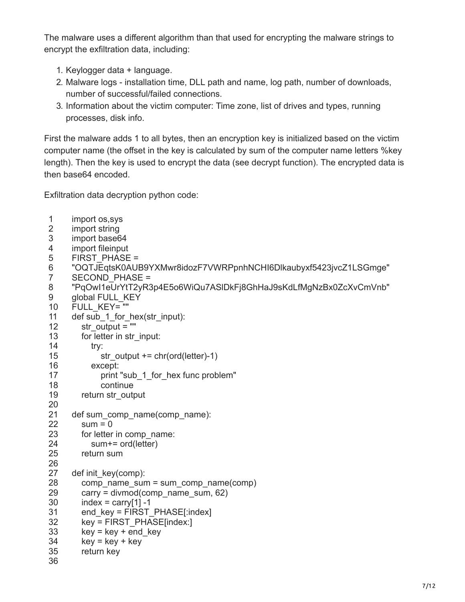The malware uses a different algorithm than that used for encrypting the malware strings to encrypt the exfiltration data, including:

- 1. Keylogger data + language.
- 2. Malware logs installation time, DLL path and name, log path, number of downloads, number of successful/failed connections.
- 3. Information about the victim computer: Time zone, list of drives and types, running processes, disk info.

First the malware adds 1 to all bytes, then an encryption key is initialized based on the victim computer name (the offset in the key is calculated by sum of the computer name letters %key length). Then the key is used to encrypt the data (see decrypt function). The encrypted data is then base64 encoded.

Exfiltration data decryption python code:

| 1                   | import os, sys                                                   |
|---------------------|------------------------------------------------------------------|
| $\overline{2}$      | import string                                                    |
| 3                   | import base64                                                    |
| 4                   | import fileinput                                                 |
| 5                   | <b>FIRST PHASE =</b>                                             |
| 6<br>$\overline{7}$ | "OQTJEqtsK0AUB9YXMwr8idozF7VWRPpnhNCHI6Dlkaubyxf5423jvcZ1LSGmge" |
|                     | <b>SECOND PHASE =</b>                                            |
| 8                   | "PqOwl1eUrYtT2yR3p4E5o6WiQu7ASIDkFj8GhHaJ9sKdLfMgNzBx0ZcXvCmVnb" |
| 9                   | global FULL KEY                                                  |
| 10                  | FULL KEY= ""                                                     |
| 11                  | def sub_1_for_hex(str_input):                                    |
| 12                  | $str\_output = ""$                                               |
| 13                  | for letter in str_input:                                         |
| 14                  | try:                                                             |
| 15                  | str_output += $chr(ord(lefter)-1)$                               |
| 16                  | except:                                                          |
| 17                  | print "sub 1 for hex func problem"                               |
| 18                  | continue                                                         |
| 19                  | return str_output                                                |
| 20                  |                                                                  |
| 21                  | def sum_comp_name(comp_name):                                    |
| 22                  | $sum = 0$                                                        |
| 23                  | for letter in comp_name:                                         |
| 24                  | sum+= ord(letter)                                                |
| 25                  | return sum                                                       |
| 26                  |                                                                  |
| 27                  | def init key(comp):                                              |
| 28                  | $comp_name sum = sum comp_name(comp)$                            |
| 29                  | carry = $divmod(comp$ name sum, 62)                              |
| 30                  | $index = carry[1] - 1$                                           |
| 31                  | end key = FIRST PHASE[:index]                                    |
|                     |                                                                  |
| 32                  | key = FIRST PHASE[index:]                                        |
| 33                  | $key = key + end key$                                            |
| 34                  | $key = key + key$                                                |
| 35                  | return key                                                       |
| 36                  |                                                                  |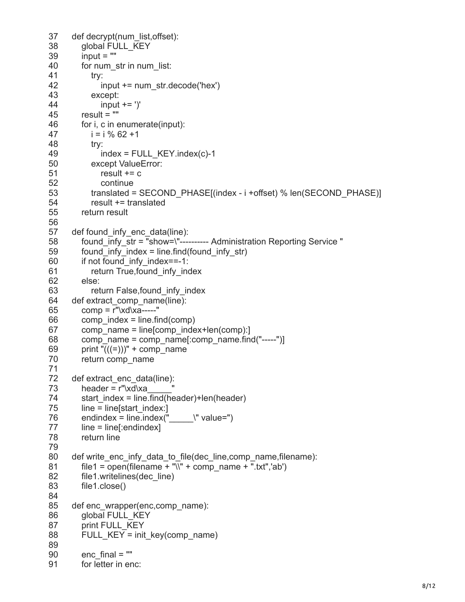```
37
38
39
40
41
42
43
44
45
46
47
48
49
50
51
52
53
54
55
56
57
58
59
60
61
62
63
64
65
66
67
68
69
70
71
72
73
74
75
76
77
78
79
80
81
82
83
84
85
86
87
88
89
90
91
      def decrypt(num_list,offset):
         global FULL_KEY
        input = "for num_str in num_list:
            try:
              input += num_str.decode('hex')
            except:
             input += ' result = ""
         for i, c in enumerate(input):
           i = i \, % 62 + 1 try:
             index = FULL KEY.index(c)-1
            except ValueError:
             result += c continue
            translated = SECOND_PHASE[(index - i +offset) % len(SECOND_PHASE)]
            result += translated
         return result 
      def found infy enc data(line):
        found \overline{inf} str = "show=\"---------- Administration Reporting Service "
        found infy index = line.find(found infy str)
         if not found_infy_index==-1:
            return True,found_infy_index
         else:
           return False, found infy index
     def extract_comp_name(line):
        comp = r''\xd\xa---"comp index = line.find(comp) comp_name = line[comp_index+len(comp):]
        comp_name = comp_name[:comp_name.find("-----")]
        print "(((=)))" + comp_name
         return comp_name
     def extract_enc_data(line):
        header = r''\xd\xastart_index = line.find(header)+len(header)
        line = line[start\ index.]endindex = line.index(\ddot{} \" value=")
         line = line[:endindex]
         return line
      def write_enc_infy_data_to_file(dec_line,comp_name,filename):
        file1 = open(filename + "\Upsilon" + comp_name + ".txt",'ab')
         file1.writelines(dec_line)
         file1.close()
      def enc_wrapper(enc,comp_name):
         global FULL_KEY
         print FULL_KEY
        FULL_KEY = init_key(comp_name)
        encfinal = ""
         for letter in enc:
```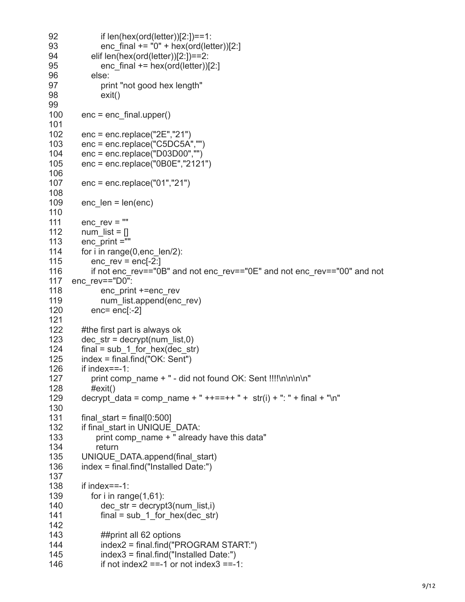```
92
93
94
95
96
97
98
99
100
101
102
103
104
105
106
107
108
109
110
111
112
113
114
115
116
117
enc_rev=="D0":
118
119
120
121
122
123
124
125
126
127
128
129
130
131
132
133
134
135
136
137
138
139
140
141
142
143
144
145
146
              if len(hex(ord(letter))[2:])==1:
             enc final += "0" + hex(ord(letter))[2:]
            elif len(hex(ord(letter))[2:])==2:
             enc final += hex(ord(letter))[2:]
            else:
              print "not good hex length"
              exit()
         enc = enc_final.upper()
         enc = enc.replace("2E","21")
         enc = enc.replace("C5DC5A","")
         enc = enc.replace("D03D00","")
         enc = enc.replace("0B0E","2121") 
         enc = enc.replace("01","21")
        enc len = len(en)encrev = "num list = [] enc_print =""
        for i in range(0,enc_len/2):
           enc rev = enc[-2:] if not enc_rev=="0B" and not enc_rev=="0E" and not enc_rev=="00" and not
             enc_print +=enc_rev
             num_list.append(enc_rev)
            enc= enc[:-2]
         #the first part is always ok
        dec str = decrypt(num list,0)final = sub_1 for hex(dec_str)
         index = final.find("OK: Sent")
         if index==-1:
           print comp_name + " - did not found OK: Sent !!!!\n\n\n\n"
            #exit()
        decrypt data = comp_name + " ++==++ " + str(i) + ": " + final + "\n"
        final start = final[0:500] if final_start in UNIQUE_DATA:
            print comp_name + " already have this data"
             return
        UNIQUE DATA.append(final start)
         index = final.find("Installed Date:")
         if index==-1:
           for i in range(1,61):
             dec str = decrypt3(num list,i)
             final = sub_1 for hex(dec_str)
              ##print all 62 options
              index2 = final.find("PROGRAM START:")
              index3 = final.find("Installed Date:")
             if not index2 = -1 or not index3 = -1:
```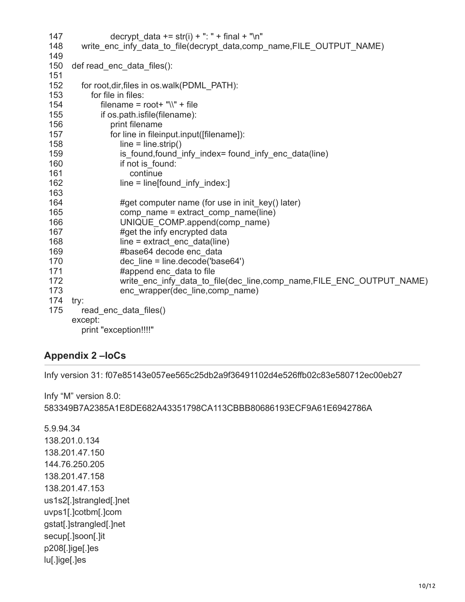| 147        | decrypt data $+=$ str(i) $+$ ": " + final + "\n"                     |
|------------|----------------------------------------------------------------------|
| 148<br>149 | write_enc_infy_data_to_file(decrypt_data,comp_name,FILE_OUTPUT_NAME) |
| 150<br>151 | def read enc data files():                                           |
| 152        | for root, dir, files in os. walk (PDML_PATH):                        |
| 153        | for file in files:                                                   |
| 154        | filename = $root+$ "\\" + file                                       |
| 155        | if os.path.isfile(filename):                                         |
| 156        | print filename                                                       |
| 157        | for line in fileinput.input([filename]):                             |
| 158        | $line = line.strip()$                                                |
| 159        | is found, found infy index= found infy enc data(line)                |
| 160        | if not is found:                                                     |
| 161        | continue                                                             |
| 162        | $line = line[found_infy_index.]$                                     |
| 163        |                                                                      |
| 164        | #get computer name (for use in init_key() later)                     |
| 165        | comp_name = extract_comp_name(line)                                  |
| 166        | UNIQUE_COMP.append(comp_name)                                        |
| 167        | #get the infy encrypted data                                         |
| 168        | $line = extract enc data(line)$                                      |
| 169        | #base64 decode enc_data                                              |
| 170        | $dec$ line = line.decode('base64')                                   |
| 171        | #append enc data to file                                             |
| 172        | write_enc_infy_data_to_file(dec_line,comp_name,FILE_ENC_OUTPUT_NAME) |
| 173        | enc wrapper(dec line, comp name)                                     |
| 174        | try:                                                                 |
| 175        | read enc data files()                                                |
|            | except:                                                              |
|            | print "exception!!!!"                                                |

### **Appendix 2 –IoCs**

Infy version 31: f07e85143e057ee565c25db2a9f36491102d4e526ffb02c83e580712ec00eb27

Infy "M" version 8.0: 583349B7A2385A1E8DE682A43351798CA113CBBB80686193ECF9A61E6942786A

5.9.94.34 138.201.0.134 138.201.47.150 144.76.250.205 138.201.47.158 138.201.47.153 us1s2[.]strangled[.]net uvps1[.]cotbm[.]com gstat[.]strangled[.]net secup[.]soon[.]it p208[.]ige[.]es lu[.]ige[.]es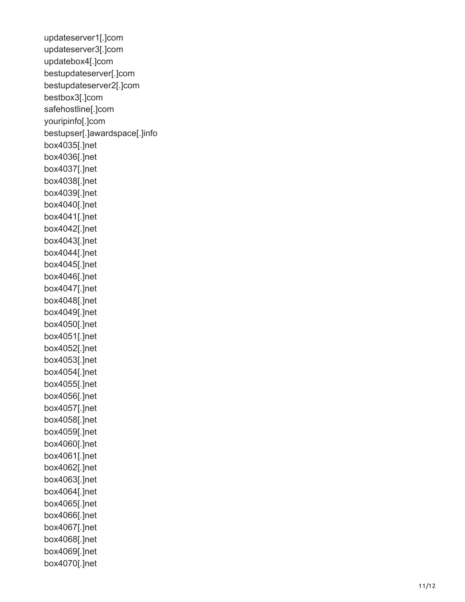updateserver1[.]com updateserver3[.]com updatebox4[.]com bestupdateserver[.]com bestupdateserver2[.]com bestbox3[.]com safehostline[.]com youripinfo[.]com bestupser[.]awardspace[.]info box4035[.]net box4036[.]net box4037[.]net box4038[.]net box4039[.]net box4040[.]net box4041[.]net box4042[.]net box4043[.]net box4044[.]net box4045[.]net box4046[.]net box4047[.]net box4048[.]net box4049[.]net box4050[.]net box4051[.]net box4052[.]net box4053[.]net box4054[.]net box4055[.]net box4056[.]net box4057[.]net box4058[.]net box4059[.]net box4060[.]net box4061[.]net box4062[.]net box4063[.]net box4064[.]net box4065[.]net box4066[.]net box4067[.]net box4068[.]net box4069[.]net box4070[.]net